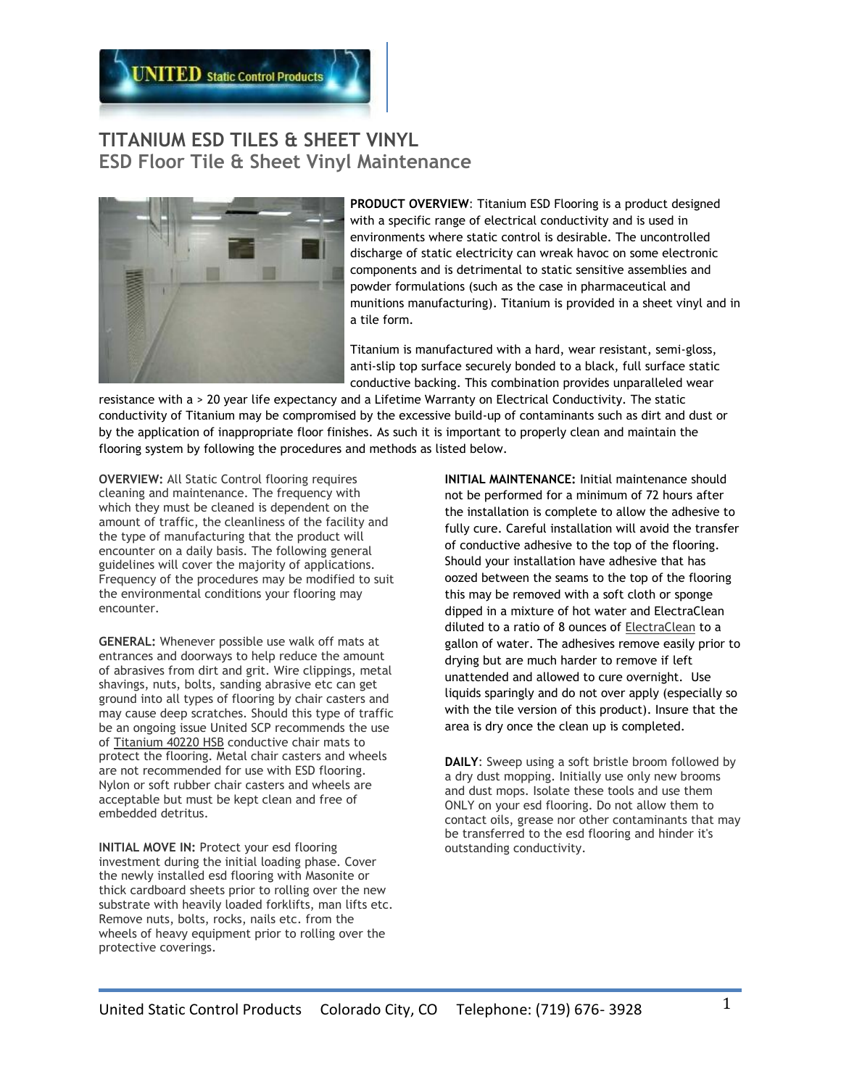

## **TITANIUM ESD TILES & SHEET VINYL ESD Floor Tile & Sheet Vinyl Maintenance**



**PRODUCT OVERVIEW**: Titanium ESD Flooring is a product designed with a specific range of electrical conductivity and is used in environments where static control is desirable. The uncontrolled discharge of static electricity can wreak havoc on some electronic components and is detrimental to static sensitive assemblies and powder formulations (such as the case in pharmaceutical and munitions manufacturing). Titanium is provided in a sheet vinyl and in a tile form.

Titanium is manufactured with a hard, wear resistant, semi-gloss, anti-slip top surface securely bonded to a black, full surface static conductive backing. This combination provides unparalleled wear

resistance with a > 20 year life expectancy and a Lifetime Warranty on Electrical Conductivity. The static conductivity of Titanium may be compromised by the excessive build-up of contaminants such as dirt and dust or by the application of inappropriate floor finishes. As such it is important to properly clean and maintain the flooring system by following the procedures and methods as listed below.

**OVERVIEW:** All Static Control flooring requires cleaning and maintenance. The frequency with which they must be cleaned is dependent on the amount of traffic, the cleanliness of the facility and the type of manufacturing that the product will encounter on a daily basis. The following general guidelines will cover the majority of applications. Frequency of the procedures may be modified to suit the environmental conditions your flooring may encounter.

**GENERAL:** Whenever possible use walk off mats at entrances and doorways to help reduce the amount of abrasives from dirt and grit. Wire clippings, metal shavings, nuts, bolts, sanding abrasive etc can get ground into all types of flooring by chair casters and may cause deep scratches. Should this type of traffic be an ongoing issue United SCP recommends the use of [Titanium 40220 HSB](http://www.ultrastat2000.com/office_static_ultraspike_3.html) conductive chair mats to protect the flooring. Metal chair casters and wheels are not recommended for use with ESD flooring. Nylon or soft rubber chair casters and wheels are acceptable but must be kept clean and free of embedded detritus.

**INITIAL MOVE IN: Protect your esd flooring** investment during the initial loading phase. Cover the newly installed esd flooring with Masonite or thick cardboard sheets prior to rolling over the new substrate with heavily loaded forklifts, man lifts etc. Remove nuts, bolts, rocks, nails etc. from the wheels of heavy equipment prior to rolling over the protective coverings.

**INITIAL MAINTENANCE:** Initial maintenance should not be performed for a minimum of 72 hours after the installation is complete to allow the adhesive to fully cure. Careful installation will avoid the transfer of conductive adhesive to the top of the flooring. Should your installation have adhesive that has oozed between the seams to the top of the flooring this may be removed with a soft cloth or sponge dipped in a mixture of hot water and ElectraClean diluted to a ratio of 8 ounces of [ElectraClean](http://ultrastatinc.com/esd_flooring_cleaner.html) to a gallon of water. The adhesives remove easily prior to drying but are much harder to remove if left unattended and allowed to cure overnight. Use liquids sparingly and do not over apply (especially so with the tile version of this product). Insure that the area is dry once the clean up is completed.

**DAILY**: Sweep using a soft bristle broom followed by a dry dust mopping. Initially use only new brooms and dust mops. Isolate these tools and use them ONLY on your esd flooring. Do not allow them to contact oils, grease nor other contaminants that may be transferred to the esd flooring and hinder it's outstanding conductivity.